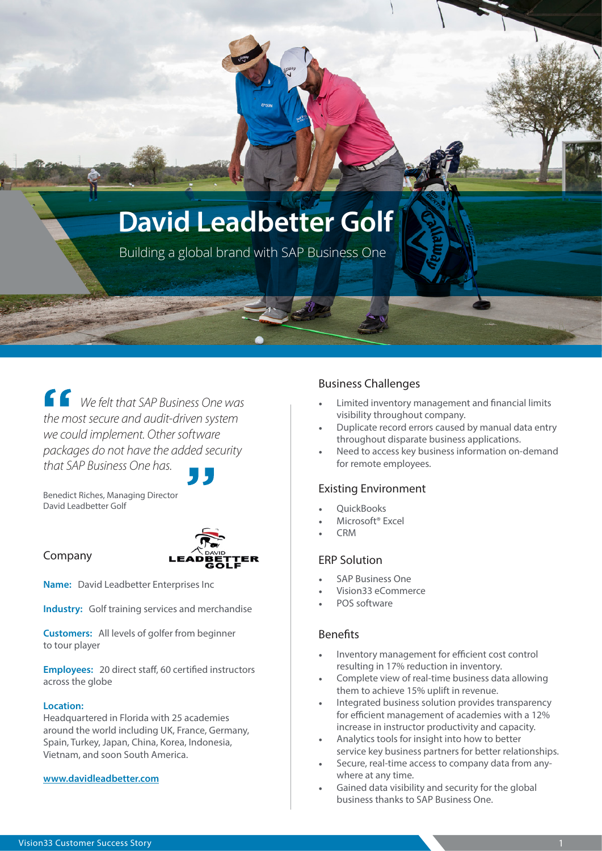# **David Leadbetter Golf**

Building a global brand with SAP Business One

*We felt that SAP Business One was the most secure and audit-driven system we could implement. Other software packages do not have the added security that SAP Business One has.*

Benedict Riches, Managing Director David Leadbetter Golf

### Company



**Name:** David Leadbetter Enterprises Inc

**Industry:** Golf training services and merchandise

**Customers:** All levels of golfer from beginner to tour player

**Employees:** 20 direct staff, 60 certified instructors across the globe

#### **Location:**

Headquartered in Florida with 25 academies around the world including UK, France, Germany, Spain, Turkey, Japan, China, Korea, Indonesia, Vietnam, and soon South America.

#### **www.[davidleadbetter.com](http://davidleadbetter.com)**

### Business Challenges

- Limited inventory management and financial limits visibility throughout company.
- Duplicate record errors caused by manual data entry throughout disparate business applications.
- Need to access key business information on-demand for remote employees.

### Existing Environment

- QuickBooks
- Microsoft® Excel
- CRM

### ERP Solution

- SAP Business One
- Vision33 eCommerce
- POS software

### Benefits

- Inventory management for efficient cost control resulting in 17% reduction in inventory.
- Complete view of real-time business data allowing them to achieve 15% uplift in revenue.
- Integrated business solution provides transparency for efficient management of academies with a 12% increase in instructor productivity and capacity.
- Analytics tools for insight into how to better service key business partners for better relationships.
- Secure, real-time access to company data from anywhere at any time.
- Gained data visibility and security for the global business thanks to SAP Business One.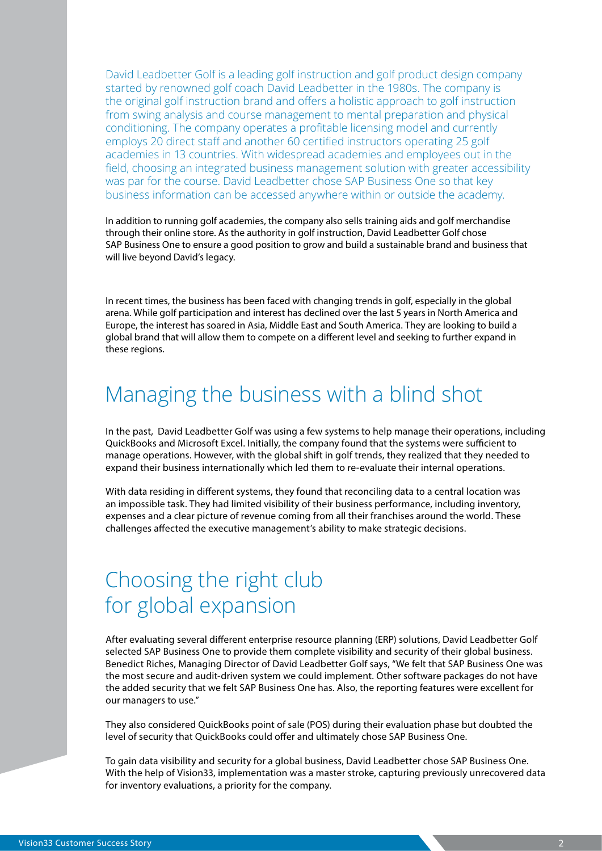David Leadbetter Golf is a leading golf instruction and golf product design company started by renowned golf coach David Leadbetter in the 1980s. The company is the original golf instruction brand and offers a holistic approach to golf instruction from swing analysis and course management to mental preparation and physical conditioning. The company operates a profitable licensing model and currently employs 20 direct staff and another 60 certified instructors operating 25 golf academies in 13 countries. With widespread academies and employees out in the field, choosing an integrated business management solution with greater accessibility was par for the course. David Leadbetter chose SAP Business One so that key business information can be accessed anywhere within or outside the academy.

In addition to running golf academies, the company also sells training aids and golf merchandise through their online store. As the authority in golf instruction, David Leadbetter Golf chose SAP Business One to ensure a good position to grow and build a sustainable brand and business that will live beyond David's legacy.

In recent times, the business has been faced with changing trends in golf, especially in the global arena. While golf participation and interest has declined over the last 5 years in North America and Europe, the interest has soared in Asia, Middle East and South America. They are looking to build a global brand that will allow them to compete on a different level and seeking to further expand in these regions.

### Managing the business with a blind shot

In the past, David Leadbetter Golf was using a few systems to help manage their operations, including QuickBooks and Microsoft Excel. Initially, the company found that the systems were sufficient to manage operations. However, with the global shift in golf trends, they realized that they needed to expand their business internationally which led them to re-evaluate their internal operations.

With data residing in different systems, they found that reconciling data to a central location was an impossible task. They had limited visibility of their business performance, including inventory, expenses and a clear picture of revenue coming from all their franchises around the world. These challenges affected the executive management's ability to make strategic decisions.

## Choosing the right club for global expansion

After evaluating several different enterprise resource planning (ERP) solutions, David Leadbetter Golf selected SAP Business One to provide them complete visibility and security of their global business. Benedict Riches, Managing Director of David Leadbetter Golf says, "We felt that SAP Business One was the most secure and audit-driven system we could implement. Other software packages do not have the added security that we felt SAP Business One has. Also, the reporting features were excellent for our managers to use."

They also considered QuickBooks point of sale (POS) during their evaluation phase but doubted the level of security that QuickBooks could offer and ultimately chose SAP Business One.

To gain data visibility and security for a global business, David Leadbetter chose SAP Business One. With the help of Vision33, implementation was a master stroke, capturing previously unrecovered data for inventory evaluations, a priority for the company.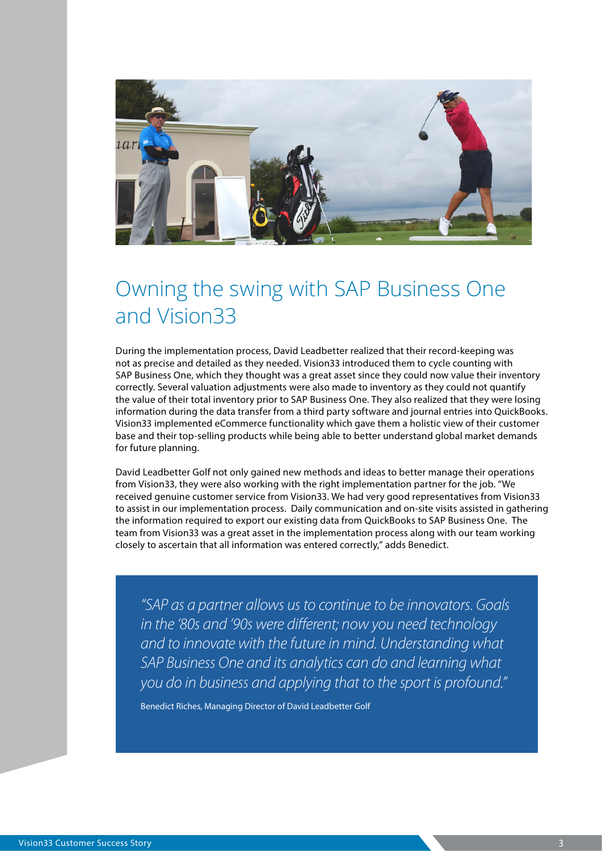

## Owning the swing with SAP Business One and Vision33

During the implementation process, David Leadbetter realized that their record-keeping was not as precise and detailed as they needed. Vision33 introduced them to cycle counting with SAP Business One, which they thought was a great asset since they could now value their inventory correctly. Several valuation adjustments were also made to inventory as they could not quantify the value of their total inventory prior to SAP Business One. They also realized that they were losing information during the data transfer from a third party software and journal entries into QuickBooks. Vision33 implemented eCommerce functionality which gave them a holistic view of their customer base and their top-selling products while being able to better understand global market demands for future planning.

David Leadbetter Golf not only gained new methods and ideas to better manage their operations from Vision33, they were also working with the right implementation partner for the job. "We received genuine customer service from Vision33. We had very good representatives from Vision33 to assist in our implementation process. Daily communication and on-site visits assisted in gathering the information required to export our existing data from QuickBooks to SAP Business One. The team from Vision33 was a great asset in the implementation process along with our team working closely to ascertain that all information was entered correctly," adds Benedict.

*"SAP as a partner allows us to continue to be innovators. Goals in the '80s and '90s were different; now you need technology and to innovate with the future in mind. Understanding what SAP Business One and its analytics can do and learning what you do in business and applying that to the sport is profound."*

Benedict Riches, Managing Director of David Leadbetter Golf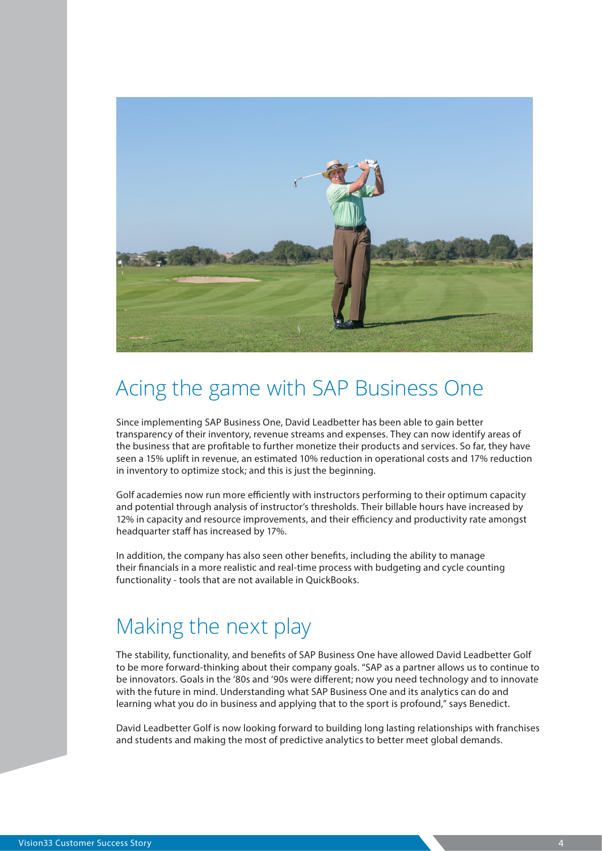

## Acing the game with SAP Business One

Since implementing SAP Business One, David Leadbetter has been able to gain better transparency of their inventory, revenue streams and expenses. They can now identify areas of the business that are profitable to further monetize their products and services. So far, they have seen a 15% uplift in revenue, an estimated 10% reduction in operational costs and 17% reduction in inventory to optimize stock; and this is just the beginning.

Golf academies now run more efficiently with instructors performing to their optimum capacity and potential through analysis of instructor's thresholds. Their billable hours have increased by 12% in capacity and resource improvements, and their efficiency and productivity rate amongst headquarter staff has increased by 17%.

In addition, the company has also seen other benefits, including the ability to manage their financials in a more realistic and real-time process with budgeting and cycle counting functionality - tools that are not available in QuickBooks.

### Making the next play

The stability, functionality, and benefits of SAP Business One have allowed David Leadbetter Golf to be more forward-thinking about their company goals. "SAP as a partner allows us to continue to be innovators. Goals in the '80s and '90s were different; now you need technology and to innovate with the future in mind. Understanding what SAP Business One and its analytics can do and learning what you do in business and applying that to the sport is profound," says Benedict.

David Leadbetter Golf is now looking forward to building long lasting relationships with franchises and students and making the most of predictive analytics to better meet global demands.